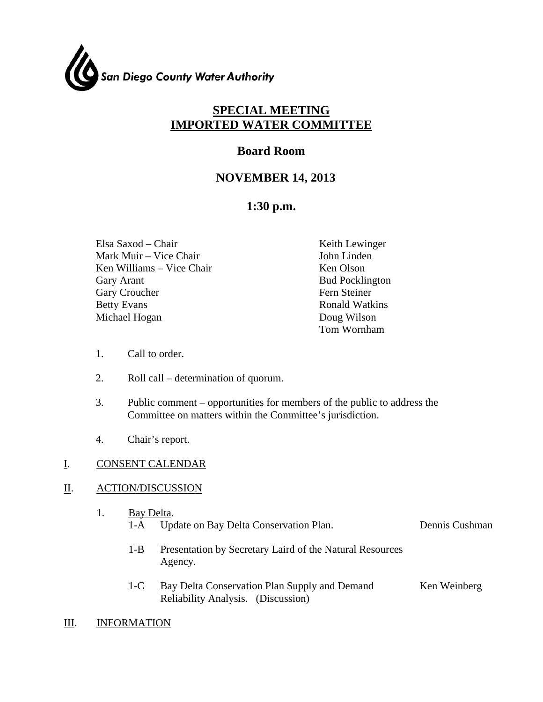

# **SPECIAL MEETING IMPORTED WATER COMMITTEE**

# **Board Room**

# **NOVEMBER 14, 2013**

# **1:30 p.m.**

Elsa Saxod – Chair Keith Lewinger Mark Muir – Vice Chair **John Linden** Ken Williams – Vice Chair Ken Olson Gary Arant Bud Pocklington Gary Croucher Fern Steiner Betty Evans Ronald Watkins Michael Hogan Doug Wilson

Tom Wornham

- 1. Call to order.
- 2. Roll call determination of quorum.
- 3. Public comment opportunities for members of the public to address the Committee on matters within the Committee's jurisdiction.
- 4. Chair's report.

## I. CONSENT CALENDAR

## II. ACTION/DISCUSSION

| Bay Delta. |                                            |                |  |  |
|------------|--------------------------------------------|----------------|--|--|
|            | 1-A Update on Bay Delta Conservation Plan. | Dennis Cushman |  |  |
|            |                                            |                |  |  |

- 1-B Presentation by Secretary Laird of the Natural Resources Agency.
- 1-C Bay Delta Conservation Plan Supply and Demand Reliability Analysis. (Discussion) Ken Weinberg
- III. INFORMATION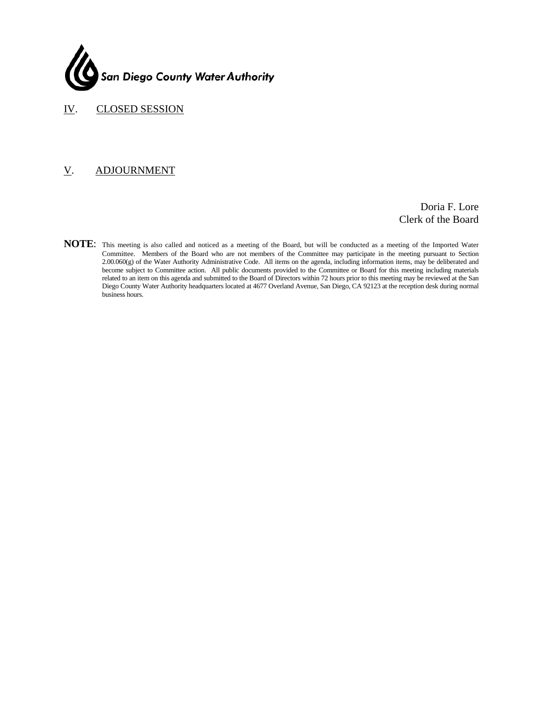

IV. CLOSED SESSION

### V. ADJOURNMENT

Doria F. Lore Clerk of the Board

**NOTE**: This meeting is also called and noticed as a meeting of the Board, but will be conducted as a meeting of the Imported Water Committee. Members of the Board who are not members of the Committee may participate in the meeting pursuant to Section 2.00.060(g) of the Water Authority Administrative Code. All items on the agenda, including information items, may be deliberated and become subject to Committee action. All public documents provided to the Committee or Board for this meeting including materials related to an item on this agenda and submitted to the Board of Directors within 72 hours prior to this meeting may be reviewed at the San Diego County Water Authority headquarters located at 4677 Overland Avenue, San Diego, CA 92123 at the reception desk during normal business hours.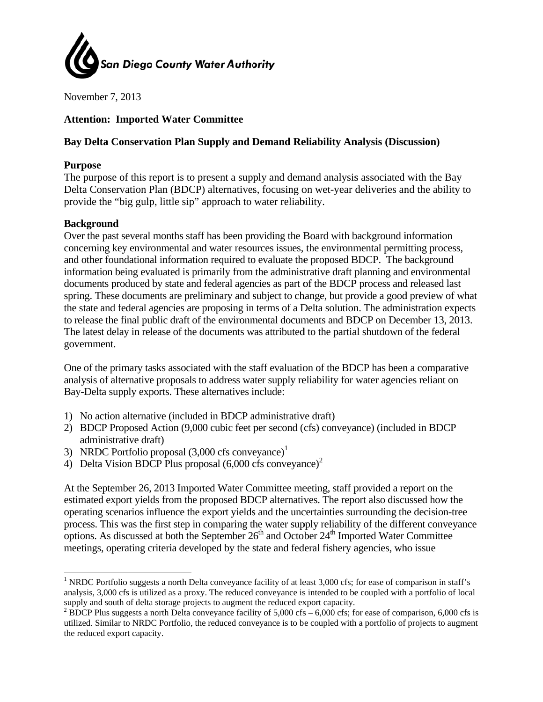

November 7, 2013

## **Attention: Imported Water Committee**

## Bay Delta Conservation Plan Supply and Demand Reliability Analysis (Discussion)

#### **Purpose**

The purpose of this report is to present a supply and demand analysis associated with the Bay Delta Conservation Plan (BDCP) alternatives, focusing on wet-year deliveries and the ability to provide the "big gulp, little sip" approach to water reliability.

#### **Background**

Over the past several months staff has been providing the Board with background information concerning key environmental and water resources issues, the environmental permitting process, and other foundational information required to evaluate the proposed BDCP. The background information being evaluated is primarily from the administrative draft planning and environmental documents produced by state and federal agencies as part of the BDCP process and released last spring. These documents are preliminary and subject to change, but provide a good preview of what the state and federal agencies are proposing in terms of a Delta solution. The administration expects to release the final public draft of the environmental documents and BDCP on December 13, 2013. The latest delay in release of the documents was attributed to the partial shutdown of the federal government.

One of the primary tasks associated with the staff evaluation of the BDCP has been a comparative analysis of alternative proposals to address water supply reliability for water agencies reliant on Bay-Delta supply exports. These alternatives include:

- 1) No action alternative (included in BDCP administrative draft)
- 2) BDCP Proposed Action (9,000 cubic feet per second (cfs) conveyance) (included in BDCP administrative draft)
- 3) NRDC Portfolio proposal  $(3,000 \text{ cfs} \text{ conveyance})^1$
- 4) Delta Vision BDCP Plus proposal  $(6,000 \text{ cfs} \text{ convevance})^2$

At the September 26, 2013 Imported Water Committee meeting, staff provided a report on the estimated export yields from the proposed BDCP alternatives. The report also discussed how the operating scenarios influence the export yields and the uncertainties surrounding the decision-tree process. This was the first step in comparing the water supply reliability of the different conveyance options. As discussed at both the September 26<sup>th</sup> and October 24<sup>th</sup> Imported Water Committee meetings, operating criteria developed by the state and federal fishery agencies, who issue

<sup>&</sup>lt;sup>1</sup> NRDC Portfolio suggests a north Delta conveyance facility of at least 3,000 cfs; for ease of comparison in staff's analysis, 3,000 cfs is utilized as a proxy. The reduced conveyance is intended to be coupled with a portfolio of local supply and south of delta storage projects to augment the reduced export capacity.

<sup>&</sup>lt;sup>2</sup> BDCP Plus suggests a north Delta conveyance facility of 5,000 cfs – 6,000 cfs; for ease of comparison, 6,000 cfs is utilized. Similar to NRDC Portfolio, the reduced conveyance is to be coupled with a portfolio of projects to augment the reduced export capacity.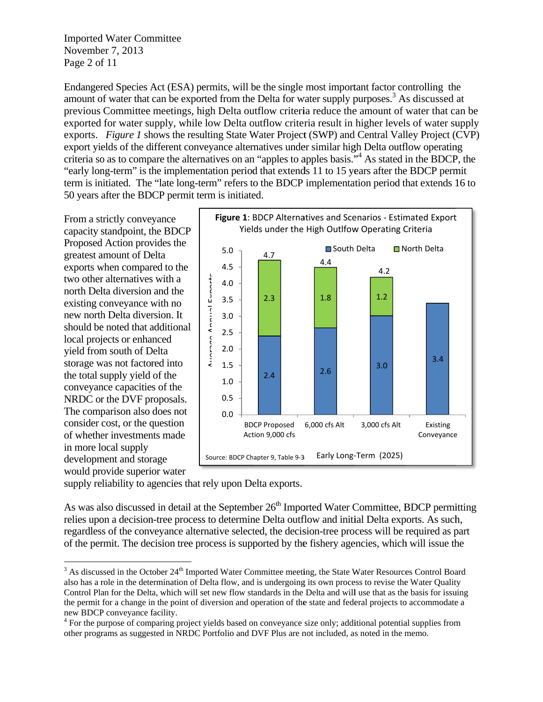**Imported Water Committee** November 7, 2013 Page 2 of 11

Endangered Species Act (ESA) permits, will be the single most important factor controlling the amount of water that can be exported from the Delta for water supply purposes.<sup>3</sup> As discussed at previous Committee meetings, high Delta outflow criteria reduce the amount of water that can be exported for water supply, while low Delta outflow criteria result in higher levels of water supply exports. Figure 1 shows the resulting State Water Project (SWP) and Central Valley Project (CVP) export vields of the different conveyance alternatives under similar high Delta outflow operating criteria so as to compare the alternatives on an "apples to apples basis."<sup>4</sup> As stated in the BDCP, the "early long-term" is the implementation period that extends 11 to 15 years after the BDCP permit term is initiated. The "late long-term" refers to the BDCP implementation period that extends 16 to 50 years after the BDCP permit term is initiated.

From a strictly conveyance capacity standpoint, the BDCP Proposed Action provides the greatest amount of Delta exports when compared to the two other alternatives with a north Delta diversion and the existing conveyance with no new north Delta diversion. It should be noted that additional local projects or enhanced yield from south of Delta storage was not factored into the total supply yield of the conveyance capacities of the NRDC or the DVF proposals. The comparison also does not consider cost, or the question of whether investments made in more local supply development and storage would provide superior water



supply reliability to agencies that rely upon Delta exports.

As was also discussed in detail at the September 26<sup>th</sup> Imported Water Committee, BDCP permitting relies upon a decision-tree process to determine Delta outflow and initial Delta exports. As such, regardless of the conveyance alternative selected, the decision-tree process will be required as part of the permit. The decision tree process is supported by the fishery agencies, which will issue the

<sup>&</sup>lt;sup>3</sup> As discussed in the October 24<sup>th</sup> Imported Water Committee meeting, the State Water Resources Control Board also has a role in the determination of Delta flow, and is undergoing its own process to revise the Water Quality Control Plan for the Delta, which will set new flow standards in the Delta and will use that as the basis for issuing the permit for a change in the point of diversion and operation of the state and federal projects to accommodate a new BDCP conveyance facility.

<sup>&</sup>lt;sup>4</sup> For the purpose of comparing project yields based on conveyance size only; additional potential supplies from other programs as suggested in NRDC Portfolio and DVF Plus are not included, as noted in the memo.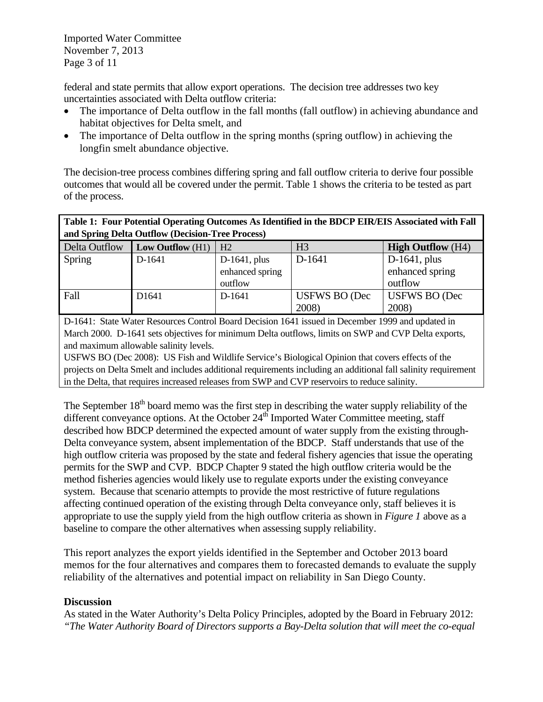federal and state permits that allow export operations. The decision tree addresses two key uncertainties associated with Delta outflow criteria:

- The importance of Delta outflow in the fall months (fall outflow) in achieving abundance and habitat objectives for Delta smelt, and
- The importance of Delta outflow in the spring months (spring outflow) in achieving the longfin smelt abundance objective.

The decision-tree process combines differing spring and fall outflow criteria to derive four possible outcomes that would all be covered under the permit. Table 1 shows the criteria to be tested as part of the process.

| Table 1: Four Potential Operating Outcomes As Identified in the BDCP EIR/EIS Associated with Fall |                  |                 |                |                          |  |  |
|---------------------------------------------------------------------------------------------------|------------------|-----------------|----------------|--------------------------|--|--|
| and Spring Delta Outflow (Decision-Tree Process)                                                  |                  |                 |                |                          |  |  |
| Delta Outflow                                                                                     | Low Outflow (H1) | H <sub>2</sub>  | H <sub>3</sub> | <b>High Outflow</b> (H4) |  |  |
| Spring                                                                                            | D-1641           | $D-1641$ , plus | D-1641         | $D-1641$ , plus          |  |  |
|                                                                                                   |                  | enhanced spring |                | enhanced spring          |  |  |
|                                                                                                   |                  | outflow         |                | outflow                  |  |  |

D-1641: State Water Resources Control Board Decision 1641 issued in December 1999 and updated in March 2000. D-1641 sets objectives for minimum Delta outflows, limits on SWP and CVP Delta exports, and maximum allowable salinity levels.

2008)

USFWS BO (Dec

2008)

Fall D1641 | D-1641 | USFWS BO (Dec

USFWS BO (Dec 2008): US Fish and Wildlife Service's Biological Opinion that covers effects of the projects on Delta Smelt and includes additional requirements including an additional fall salinity requirement in the Delta, that requires increased releases from SWP and CVP reservoirs to reduce salinity.

The September  $18<sup>th</sup>$  board memo was the first step in describing the water supply reliability of the different conveyance options. At the October  $24<sup>th</sup>$  Imported Water Committee meeting, staff described how BDCP determined the expected amount of water supply from the existing through-Delta conveyance system, absent implementation of the BDCP. Staff understands that use of the high outflow criteria was proposed by the state and federal fishery agencies that issue the operating permits for the SWP and CVP. BDCP Chapter 9 stated the high outflow criteria would be the method fisheries agencies would likely use to regulate exports under the existing conveyance system. Because that scenario attempts to provide the most restrictive of future regulations affecting continued operation of the existing through Delta conveyance only, staff believes it is appropriate to use the supply yield from the high outflow criteria as shown in *Figure 1* above as a baseline to compare the other alternatives when assessing supply reliability.

This report analyzes the export yields identified in the September and October 2013 board memos for the four alternatives and compares them to forecasted demands to evaluate the supply reliability of the alternatives and potential impact on reliability in San Diego County.

## **Discussion**

As stated in the Water Authority's Delta Policy Principles, adopted by the Board in February 2012: *"The Water Authority Board of Directors supports a Bay-Delta solution that will meet the co-equal*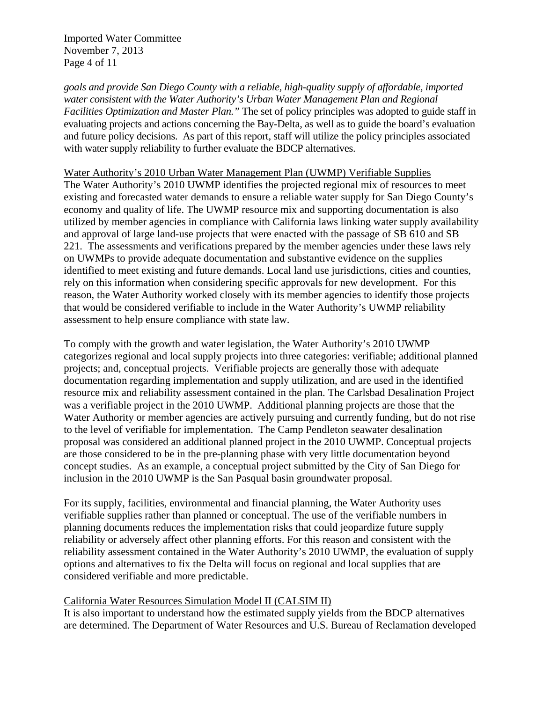Imported Water Committee November 7, 2013 Page 4 of 11

*goals and provide San Diego County with a reliable, high-quality supply of affordable, imported water consistent with the Water Authority's Urban Water Management Plan and Regional Facilities Optimization and Master Plan."* The set of policy principles was adopted to guide staff in evaluating projects and actions concerning the Bay-Delta, as well as to guide the board's evaluation and future policy decisions. As part of this report, staff will utilize the policy principles associated with water supply reliability to further evaluate the BDCP alternatives.

### Water Authority's 2010 Urban Water Management Plan (UWMP) Verifiable Supplies

The Water Authority's 2010 UWMP identifies the projected regional mix of resources to meet existing and forecasted water demands to ensure a reliable water supply for San Diego County's economy and quality of life. The UWMP resource mix and supporting documentation is also utilized by member agencies in compliance with California laws linking water supply availability and approval of large land-use projects that were enacted with the passage of SB 610 and SB 221. The assessments and verifications prepared by the member agencies under these laws rely on UWMPs to provide adequate documentation and substantive evidence on the supplies identified to meet existing and future demands. Local land use jurisdictions, cities and counties, rely on this information when considering specific approvals for new development. For this reason, the Water Authority worked closely with its member agencies to identify those projects that would be considered verifiable to include in the Water Authority's UWMP reliability assessment to help ensure compliance with state law.

To comply with the growth and water legislation, the Water Authority's 2010 UWMP categorizes regional and local supply projects into three categories: verifiable; additional planned projects; and, conceptual projects. Verifiable projects are generally those with adequate documentation regarding implementation and supply utilization, and are used in the identified resource mix and reliability assessment contained in the plan. The Carlsbad Desalination Project was a verifiable project in the 2010 UWMP. Additional planning projects are those that the Water Authority or member agencies are actively pursuing and currently funding, but do not rise to the level of verifiable for implementation. The Camp Pendleton seawater desalination proposal was considered an additional planned project in the 2010 UWMP. Conceptual projects are those considered to be in the pre-planning phase with very little documentation beyond concept studies. As an example, a conceptual project submitted by the City of San Diego for inclusion in the 2010 UWMP is the San Pasqual basin groundwater proposal.

For its supply, facilities, environmental and financial planning, the Water Authority uses verifiable supplies rather than planned or conceptual. The use of the verifiable numbers in planning documents reduces the implementation risks that could jeopardize future supply reliability or adversely affect other planning efforts. For this reason and consistent with the reliability assessment contained in the Water Authority's 2010 UWMP, the evaluation of supply options and alternatives to fix the Delta will focus on regional and local supplies that are considered verifiable and more predictable.

#### California Water Resources Simulation Model II (CALSIM II)

It is also important to understand how the estimated supply yields from the BDCP alternatives are determined. The Department of Water Resources and U.S. Bureau of Reclamation developed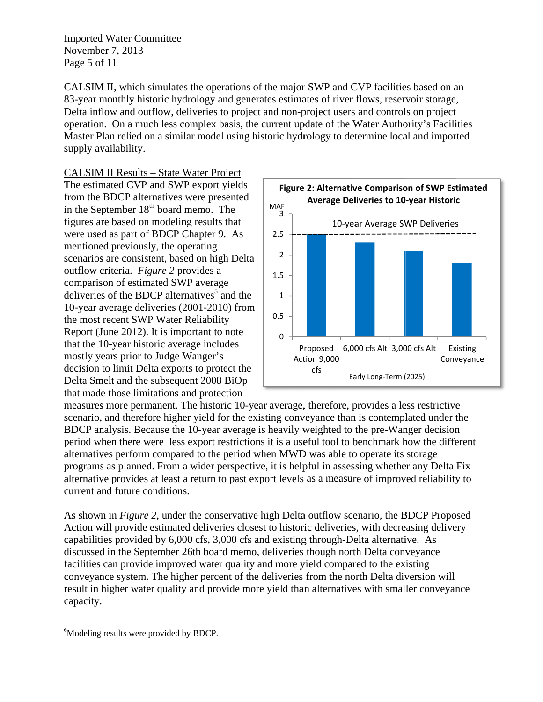**Imported Water Committee** November 7, 2013 Page 5 of 11

CALSIM II, which simulates the operations of the major SWP and CVP facilities based on an 83-year monthly historic hydrology and generates estimates of river flows, reservoir storage, Delta inflow and outflow, deliveries to project and non-project users and controls on project operation. On a much less complex basis, the current update of the Water Authority's Facilities Master Plan relied on a similar model using historic hydrology to determine local and imported supply availability.

## **CALSIM II Results - State Water Project**

The estimated CVP and SWP export yields from the BDCP alternatives were presented in the September 18<sup>th</sup> board memo. The figures are based on modeling results that were used as part of BDCP Chapter 9. As mentioned previously, the operating scenarios are consistent, based on high Delta outflow criteria. Figure 2 provides a comparison of estimated SWP average deliveries of the BDCP alternatives<sup>5</sup> and the 10-year average deliveries (2001-2010) from the most recent SWP Water Reliability Report (June 2012). It is important to note that the 10-year historic average includes mostly years prior to Judge Wanger's decision to limit Delta exports to protect the Delta Smelt and the subsequent 2008 BiOp that made those limitations and protection



measures more permanent. The historic 10-year average, therefore, provides a less restrictive scenario, and therefore higher yield for the existing conveyance than is contemplated under the BDCP analysis. Because the 10-year average is heavily weighted to the pre-Wanger decision period when there were less export restrictions it is a useful tool to benchmark how the different alternatives perform compared to the period when MWD was able to operate its storage programs as planned. From a wider perspective, it is helpful in assessing whether any Delta Fix alternative provides at least a return to past export levels as a measure of improved reliability to current and future conditions.

As shown in *Figure 2*, under the conservative high Delta outflow scenario, the BDCP Proposed Action will provide estimated deliveries closest to historic deliveries, with decreasing delivery capabilities provided by 6,000 cfs, 3,000 cfs and existing through-Delta alternative. As discussed in the September 26th board memo, deliveries though north Delta conveyance facilities can provide improved water quality and more yield compared to the existing conveyance system. The higher percent of the deliveries from the north Delta diversion will result in higher water quality and provide more yield than alternatives with smaller conveyance capacity.

<sup>&</sup>lt;sup>6</sup>Modeling results were provided by BDCP.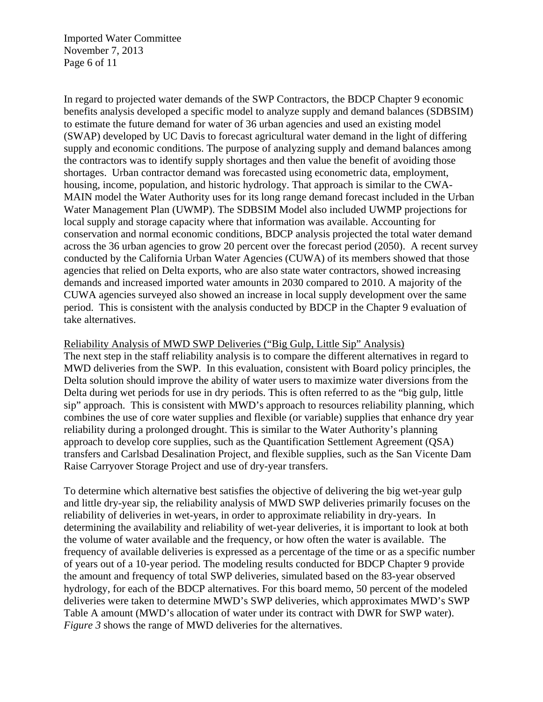Imported Water Committee November 7, 2013 Page 6 of 11

In regard to projected water demands of the SWP Contractors, the BDCP Chapter 9 economic benefits analysis developed a specific model to analyze supply and demand balances (SDBSIM) to estimate the future demand for water of 36 urban agencies and used an existing model (SWAP) developed by UC Davis to forecast agricultural water demand in the light of differing supply and economic conditions. The purpose of analyzing supply and demand balances among the contractors was to identify supply shortages and then value the benefit of avoiding those shortages. Urban contractor demand was forecasted using econometric data, employment, housing, income, population, and historic hydrology. That approach is similar to the CWA-MAIN model the Water Authority uses for its long range demand forecast included in the Urban Water Management Plan (UWMP). The SDBSIM Model also included UWMP projections for local supply and storage capacity where that information was available. Accounting for conservation and normal economic conditions, BDCP analysis projected the total water demand across the 36 urban agencies to grow 20 percent over the forecast period (2050). A recent survey conducted by the California Urban Water Agencies (CUWA) of its members showed that those agencies that relied on Delta exports, who are also state water contractors, showed increasing demands and increased imported water amounts in 2030 compared to 2010. A majority of the CUWA agencies surveyed also showed an increase in local supply development over the same period. This is consistent with the analysis conducted by BDCP in the Chapter 9 evaluation of take alternatives.

#### Reliability Analysis of MWD SWP Deliveries ("Big Gulp, Little Sip" Analysis)

The next step in the staff reliability analysis is to compare the different alternatives in regard to MWD deliveries from the SWP. In this evaluation, consistent with Board policy principles, the Delta solution should improve the ability of water users to maximize water diversions from the Delta during wet periods for use in dry periods. This is often referred to as the "big gulp, little sip" approach. This is consistent with MWD's approach to resources reliability planning, which combines the use of core water supplies and flexible (or variable) supplies that enhance dry year reliability during a prolonged drought. This is similar to the Water Authority's planning approach to develop core supplies, such as the Quantification Settlement Agreement (QSA) transfers and Carlsbad Desalination Project, and flexible supplies, such as the San Vicente Dam Raise Carryover Storage Project and use of dry-year transfers.

To determine which alternative best satisfies the objective of delivering the big wet-year gulp and little dry-year sip, the reliability analysis of MWD SWP deliveries primarily focuses on the reliability of deliveries in wet-years, in order to approximate reliability in dry-years. In determining the availability and reliability of wet-year deliveries, it is important to look at both the volume of water available and the frequency, or how often the water is available. The frequency of available deliveries is expressed as a percentage of the time or as a specific number of years out of a 10-year period. The modeling results conducted for BDCP Chapter 9 provide the amount and frequency of total SWP deliveries, simulated based on the 83-year observed hydrology, for each of the BDCP alternatives. For this board memo, 50 percent of the modeled deliveries were taken to determine MWD's SWP deliveries, which approximates MWD's SWP Table A amount (MWD's allocation of water under its contract with DWR for SWP water). *Figure 3* shows the range of MWD deliveries for the alternatives.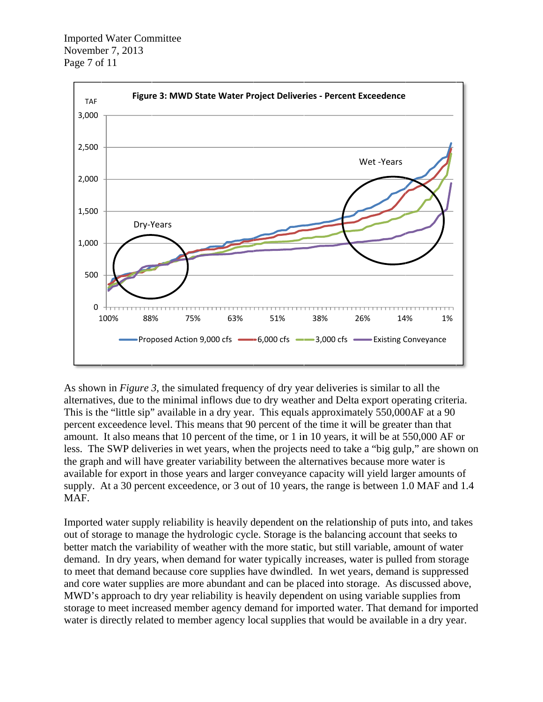

As shown in *Figure 3*, the simulated frequency of dry year deliveries is similar to all the alternatives, due to the minimal inflows due to dry weather and Delta export operating criteria. This is the "little sip" available in a dry year. This equals approximately 550,000 AF at a 90 percent exceedence level. This means that 90 percent of the time it will be greater than that amount. It also means that 10 percent of the time, or 1 in 10 years, it will be at 550,000 AF or less. The SWP deliveries in wet years, when the projects need to take a "big gulp," are shown on the graph and will have greater variability between the alternatives because more water is available for export in those years and larger conveyance capacity will yield larger amounts of supply. At a 30 percent exceedence, or 3 out of 10 years, the range is between 1.0 MAF and 1.4 MAF.

Imported water supply reliability is heavily dependent on the relationship of puts into, and takes out of storage to manage the hydrologic cycle. Storage is the balancing account that seeks to better match the variability of weather with the more static, but still variable, amount of water demand. In dry years, when demand for water typically increases, water is pulled from storage to meet that demand because core supplies have dwindled. In wet years, demand is suppressed and core water supplies are more abundant and can be placed into storage. As discussed above, MWD's approach to dry year reliability is heavily dependent on using variable supplies from storage to meet increased member agency demand for imported water. That demand for imported water is directly related to member agency local supplies that would be available in a dry year.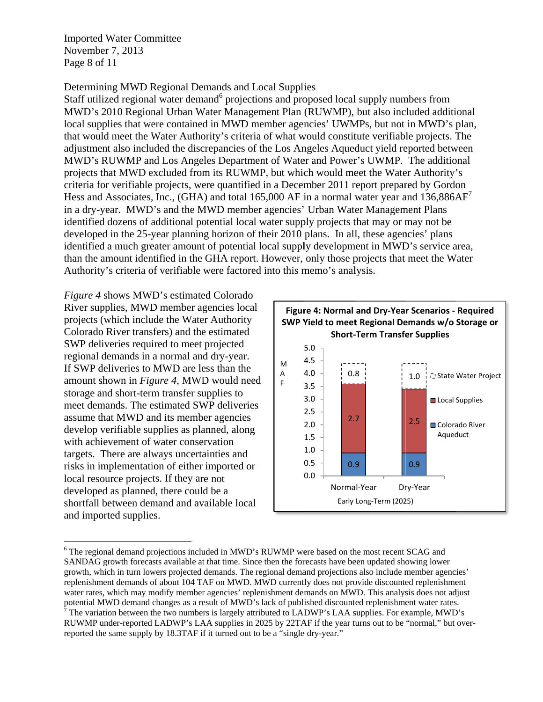**Imported Water Committee** November 7, 2013 Page 8 of 11

## Determining MWD Regional Demands and Local Supplies

Staff utilized regional water demand<sup>6</sup> projections and proposed local supply numbers from MWD's 2010 Regional Urban Water Management Plan (RUWMP), but also included additional local supplies that were contained in MWD member agencies' UWMPs, but not in MWD's plan, that would meet the Water Authority's criteria of what would constitute verifiable projects. The adjustment also included the discrepancies of the Los Angeles Aqueduct yield reported between MWD's RUWMP and Los Angeles Department of Water and Power's UWMP. The additional projects that MWD excluded from its RUWMP, but which would meet the Water Authority's criteria for verifiable projects, were quantified in a December 2011 report prepared by Gordon Hess and Associates, Inc., (GHA) and total 165,000 AF in a normal water year and  $136,886AF<sup>7</sup>$ in a dry-year. MWD's and the MWD member agencies' Urban Water Management Plans identified dozens of additional potential local water supply projects that may or may not be developed in the 25-year planning horizon of their 2010 plans. In all, these agencies' plans identified a much greater amount of potential local supply development in MWD's service area, than the amount identified in the GHA report. However, only those projects that meet the Water Authority's criteria of verifiable were factored into this memo's analysis.

*Figure 4* shows MWD's estimated Colorado River supplies, MWD member agencies local projects (which include the Water Authority Colorado River transfers) and the estimated SWP deliveries required to meet projected regional demands in a normal and dry-year. If SWP deliveries to MWD are less than the amount shown in Figure 4, MWD would need storage and short-term transfer supplies to meet demands. The estimated SWP deliveries assume that MWD and its member agencies develop verifiable supplies as planned, along with achievement of water conservation targets. There are always uncertainties and risks in implementation of either imported or local resource projects. If they are not developed as planned, there could be a shortfall between demand and available local and imported supplies.



<sup>&</sup>lt;sup>6</sup> The regional demand projections included in MWD's RUWMP were based on the most recent SCAG and SANDAG growth forecasts available at that time. Since then the forecasts have been updated showing lower growth, which in turn lowers projected demands. The regional demand projections also include member agencies' replenishment demands of about 104 TAF on MWD. MWD currently does not provide discounted replenishment water rates, which may modify member agencies' replenishment demands on MWD. This analysis does not adjust potential MWD demand changes as a result of MWD's lack of published discounted replenishment water rates.<br><sup>7</sup> The variation between the two numbers is largely attributed to LADWP's LAA supplies. For example, MWD's

RUWMP under-reported LADWP's LAA supplies in 2025 by 22TAF if the year turns out to be "normal," but overreported the same supply by 18.3TAF if it turned out to be a "single dry-year."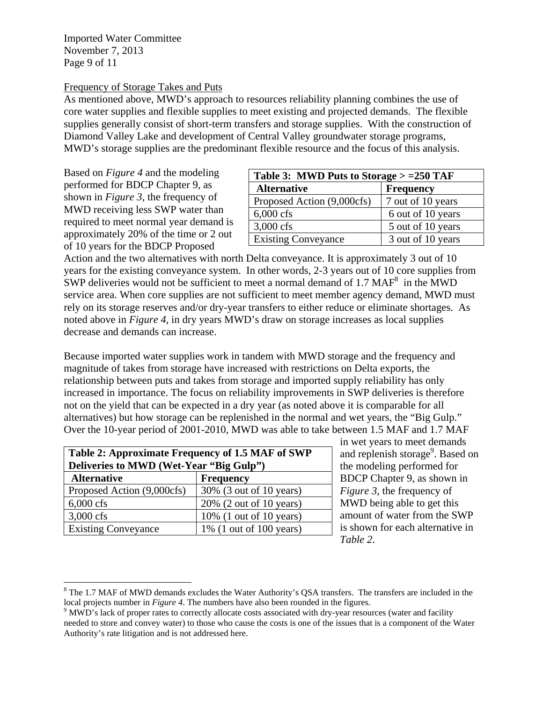Imported Water Committee November 7, 2013 Page 9 of 11

#### Frequency of Storage Takes and Puts

As mentioned above, MWD's approach to resources reliability planning combines the use of core water supplies and flexible supplies to meet existing and projected demands. The flexible supplies generally consist of short-term transfers and storage supplies. With the construction of Diamond Valley Lake and development of Central Valley groundwater storage programs, MWD's storage supplies are the predominant flexible resource and the focus of this analysis.

Based on *Figure 4* and the modeling performed for BDCP Chapter 9, as shown in *Figure 3*, the frequency of MWD receiving less SWP water than required to meet normal year demand is approximately 20% of the time or 2 out of 10 years for the BDCP Proposed

| Table 3: MWD Puts to Storage $> =250$ TAF |                   |  |
|-------------------------------------------|-------------------|--|
| <b>Alternative</b>                        | <b>Frequency</b>  |  |
| Proposed Action (9,000cfs)                | 7 out of 10 years |  |
| $6,000 \text{ cfs}$                       | 6 out of 10 years |  |
| 3,000 cfs                                 | 5 out of 10 years |  |
| <b>Existing Conveyance</b>                | 3 out of 10 years |  |

Action and the two alternatives with north Delta conveyance. It is approximately 3 out of 10 years for the existing conveyance system. In other words, 2-3 years out of 10 core supplies from SWP deliveries would not be sufficient to meet a normal demand of 1.7 MAF<sup>8</sup> in the MWD service area. When core supplies are not sufficient to meet member agency demand, MWD must rely on its storage reserves and/or dry-year transfers to either reduce or eliminate shortages. As noted above in *Figure 4*, in dry years MWD's draw on storage increases as local supplies decrease and demands can increase.

Because imported water supplies work in tandem with MWD storage and the frequency and magnitude of takes from storage have increased with restrictions on Delta exports, the relationship between puts and takes from storage and imported supply reliability has only increased in importance. The focus on reliability improvements in SWP deliveries is therefore not on the yield that can be expected in a dry year (as noted above it is comparable for all alternatives) but how storage can be replenished in the normal and wet years, the "Big Gulp." Over the 10-year period of 2001-2010, MWD was able to take between 1.5 MAF and 1.7 MAF

| Table 2: Approximate Frequency of 1.5 MAF of SWP<br>Deliveries to MWD (Wet-Year "Big Gulp") |                            |  |
|---------------------------------------------------------------------------------------------|----------------------------|--|
| <b>Alternative</b>                                                                          | <b>Frequency</b>           |  |
| Proposed Action (9,000cfs)                                                                  | 30% (3 out of 10 years)    |  |
| $6,000 \text{ cfs}$                                                                         | 20% (2 out of 10 years)    |  |
| 3,000 cfs                                                                                   | $10\%$ (1 out of 10 years) |  |
| <b>Existing Conveyance</b>                                                                  | 1% (1 out of 100 years)    |  |

 $\overline{a}$ 

in wet years to meet demands and replenish storage<sup>9</sup>. Based on the modeling performed for BDCP Chapter 9, as shown in *Figure 3*, the frequency of MWD being able to get this amount of water from the SWP is shown for each alternative in *Table 2*.

 $8$  The 1.7 MAF of MWD demands excludes the Water Authority's QSA transfers. The transfers are included in the local projects number in *Figure 4*. The numbers have also been rounded in the figures.

<sup>&</sup>lt;sup>9</sup> MWD's lack of proper rates to correctly allocate costs associated with dry-year resources (water and facility needed to store and convey water) to those who cause the costs is one of the issues that is a component of the Water Authority's rate litigation and is not addressed here.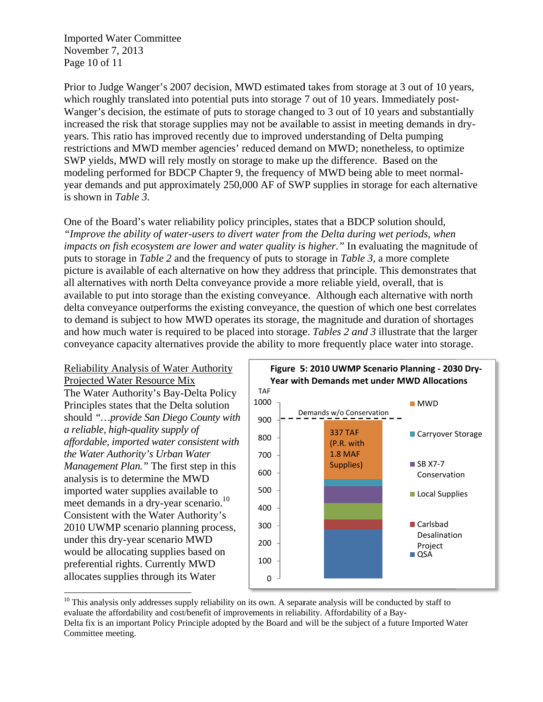**Imported Water Committee** November 7, 2013 Page 10 of 11

Prior to Judge Wanger's 2007 decision, MWD estimated takes from storage at 3 out of 10 years, which roughly translated into potential puts into storage 7 out of 10 years. Immediately post-Wanger's decision, the estimate of puts to storage changed to 3 out of 10 years and substantially increased the risk that storage supplies may not be available to assist in meeting demands in dryyears. This ratio has improved recently due to improved understanding of Delta pumping restrictions and MWD member agencies' reduced demand on MWD; nonetheless, to optimize SWP yields, MWD will rely mostly on storage to make up the difference. Based on the modeling performed for BDCP Chapter 9, the frequency of MWD being able to meet normalyear demands and put approximately 250,000 AF of SWP supplies in storage for each alternative is shown in *Table 3*.

One of the Board's water reliability policy principles, states that a BDCP solution should, "Improve the ability of water-users to divert water from the Delta during wet periods, when impacts on fish ecosystem are lower and water quality is higher." In evaluating the magnitude of puts to storage in Table 2 and the frequency of puts to storage in Table 3, a more complete picture is available of each alternative on how they address that principle. This demonstrates that all alternatives with north Delta conveyance provide a more reliable yield, overall, that is available to put into storage than the existing conveyance. Although each alternative with north delta conveyance outperforms the existing conveyance, the question of which one best correlates to demand is subject to how MWD operates its storage, the magnitude and duration of shortages and how much water is required to be placed into storage. Tables 2 and 3 illustrate that the larger conveyance capacity alternatives provide the ability to more frequently place water into storage.

#### Reliability Analysis of Water Authority Projected Water Resource Mix

The Water Authority's Bay-Delta Policy Principles states that the Delta solution should "...provide San Diego County with a reliable, high-quality supply of affordable, imported water consistent with the Water Authority's Urban Water Management Plan." The first step in this analysis is to determine the MWD imported water supplies available to meet demands in a dry-year scenario.<sup>10</sup> Consistent with the Water Authority's 2010 UWMP scenario planning process, under this dry-year scenario MWD would be allocating supplies based on preferential rights. Currently MWD allocates supplies through its Water



 $^{10}$  This analysis only addresses supply reliability on its own. A separate analysis will be conducted by staff to evaluate the affordability and cost/benefit of improvements in reliability. Affordability of a Bay-Delta fix is an important Policy Principle adopted by the Board and will be the subject of a future Imported Water Committee meeting.